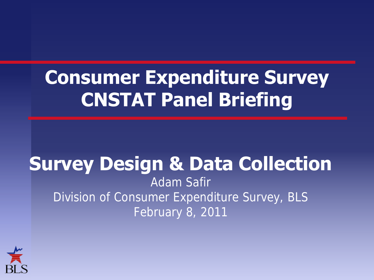# **Consumer Expenditure Survey CNSTAT Panel Briefing**

#### **Survey Design & Data Collection** Adam Safir

Division of Consumer Expenditure Survey, BLS February 8, 2011

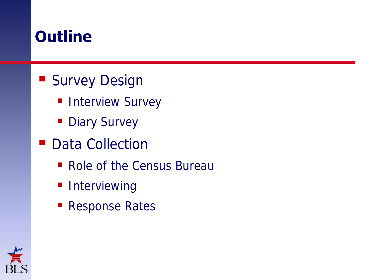# **Outline**

- **Survey Design** 
	- **Interview Survey**
	- **Diary Survey**
- Data Collection
	- Role of the Census Bureau
	- **Interviewing**
	- **Response Rates**

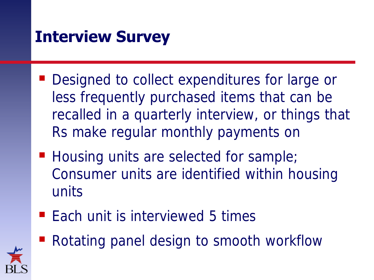# **Interview Survey**

- Designed to collect expenditures for large or less frequently purchased items that can be recalled in a quarterly interview, or things that Rs make regular monthly payments on
- Housing units are selected for sample; Consumer units are identified within housing units
- Each unit is interviewed 5 times
- Rotating panel design to smooth workflow

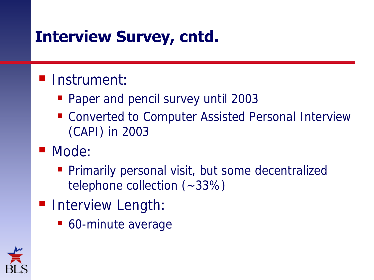# **Interview Survey, cntd.**

#### **I**nstrument:

- Paper and pencil survey until 2003
- Converted to Computer Assisted Personal Interview (CAPI) in 2003
- **Mode:** 
	- **Primarily personal visit, but some decentralized** telephone collection (~33%)
- **I** Interview Length:
	- 60-minute average

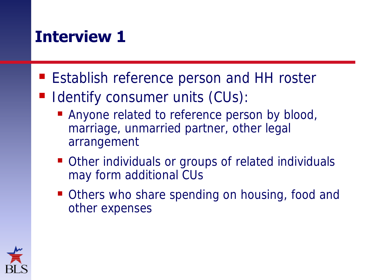# **Interview 1**

- Establish reference person and HH roster
- Identify consumer units (CUs):
	- Anyone related to reference person by blood, marriage, unmarried partner, other legal arrangement
	- Other individuals or groups of related individuals may form additional CUs
	- **Others who share spending on housing, food and** other expenses

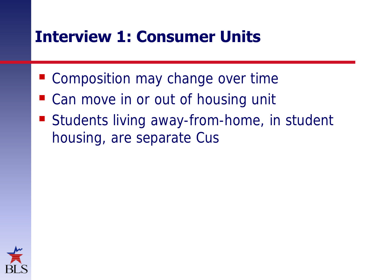## **Interview 1: Consumer Units**

- Composition may change over time
- Can move in or out of housing unit
- Students living away-from-home, in student housing, are separate Cus

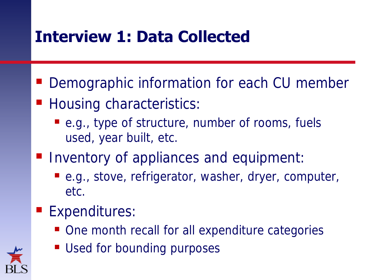# **Interview 1: Data Collected**

- Demographic information for each CU member
- Housing characteristics:
	- e.g., type of structure, number of rooms, fuels used, year built, etc.
- Inventory of appliances and equipment:
	- e.g., stove, refrigerator, washer, dryer, computer, etc.
- Expenditures:
	- One month recall for all expenditure categories



■ Used for bounding purposes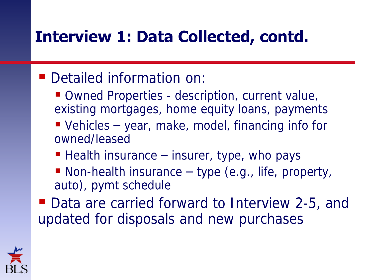# **Interview 1: Data Collected, contd.**

#### Detailed information on:

- Owned Properties description, current value, existing mortgages, home equity loans, payments
- Vehicles year, make, model, financing info for owned/leased
- $\blacksquare$  Health insurance  $\blacksquare$  insurer, type, who pays
- Non-health insurance  $-$  type (e.g., life, property, auto), pymt schedule
- Data are carried forward to Interview 2-5, and updated for disposals and new purchases

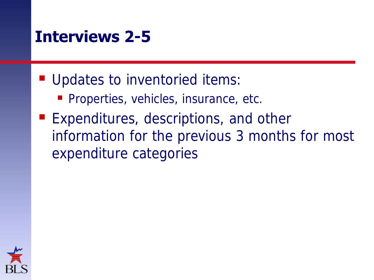### **Interviews 2-5**

- Updates to inventoried items:
	- **Properties, vehicles, insurance, etc.**
- Expenditures, descriptions, and other information for the previous 3 months for most expenditure categories

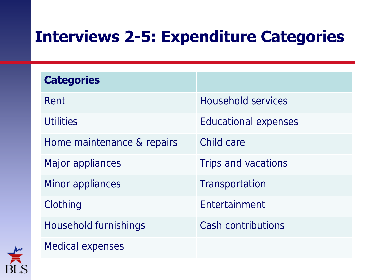# **Interviews 2-5: Expenditure Categories**

| <b>Categories</b>          |                      |
|----------------------------|----------------------|
| Rent                       | Household services   |
| Utilities                  | Educational expenses |
| Home maintenance & repairs | Child care           |
| Major appliances           | Trips and vacations  |
| Minor appliances           | Transportation       |
| Clothing                   | Entertainment        |
| Household furnishings      | Cash contributions   |
| Medical expenses           |                      |

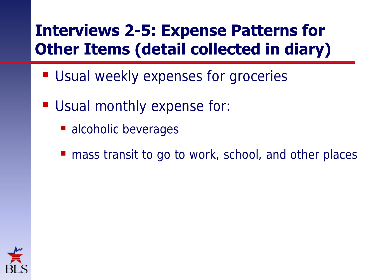# **Interviews 2-5: Expense Patterns for Other Items (detail collected in diary)**

- **Usual weekly expenses for groceries**
- Usual monthly expense for:
	- alcoholic beverages
	- **n** mass transit to go to work, school, and other places

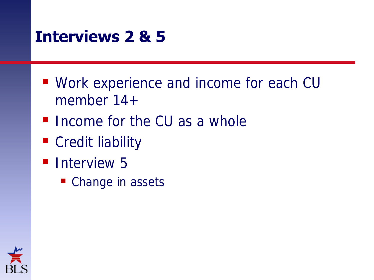# **Interviews 2 & 5**

- Work experience and income for each CU member 14+
- I Income for the CU as a whole
- Credit liability
- **I** Interview 5
	- Change in assets

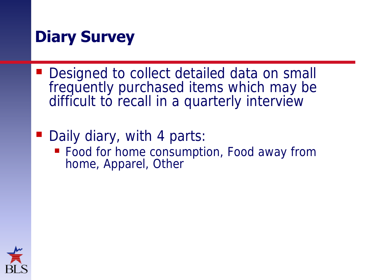# **Diary Survey**

- Designed to collect detailed data on small frequently purchased items which may be difficult to recall in a quarterly interview
- Daily diary, with 4 parts:
	- **Food for home consumption, Food away from** home, Apparel, Other

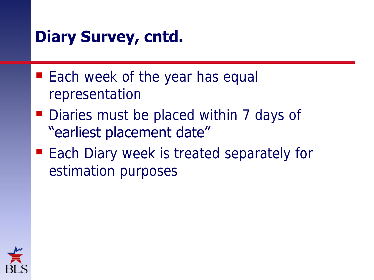# **Diary Survey, cntd.**

- Each week of the year has equal representation
- Diaries must be placed within 7 days of "earliest placement date"
- Each Diary week is treated separately for estimation purposes

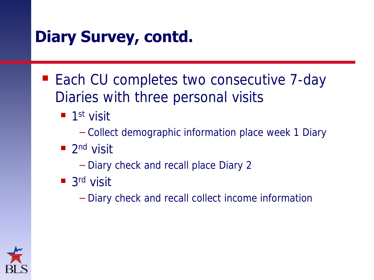# **Diary Survey, contd.**

- Each CU completes two consecutive 7-day Diaries with three personal visits
	- 1<sup>st</sup> visit
		- − Collect demographic information place week 1 Diary
	- 2<sup>nd</sup> visit
		- − Diary check and recall place Diary 2
	- 3<sup>rd</sup> visit
		- − Diary check and recall collect income information

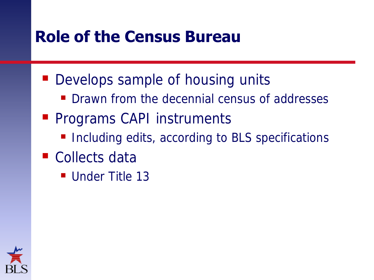### **Role of the Census Bureau**

- **Develops sample of housing units** 
	- **Drawn from the decennial census of addresses**
- **Programs CAPI instruments** 
	- **Including edits, according to BLS specifications**
- Collects data
	- Under Title 13

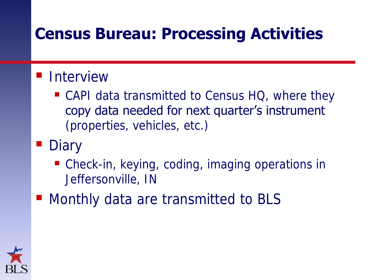# **Census Bureau: Processing Activities**

#### **I**nterview

- CAPI data transmitted to Census HQ, where they copy data needed for next quarter's instrument (properties, vehicles, etc.)
- **Diary** 
	- Check-in, keying, coding, imaging operations in Jeffersonville, IN
- Monthly data are transmitted to BLS

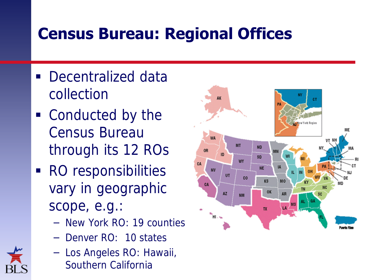# **Census Burea[u: R](http://www.census.gov/losangeles/)e[gional O](http://www.census.gov/dallas/)[ffic](http://www.census.gov/atlanta/)es**

- Decentralized data collection
- Conducted by the Census Bureau through its 12 ROs
- RO responsibilities vary in geographic scope, e.g.:
	- New York RO: 19 counties
	- Denver RO: 10 states
	- Los Angeles RO: Hawaii, Southern California

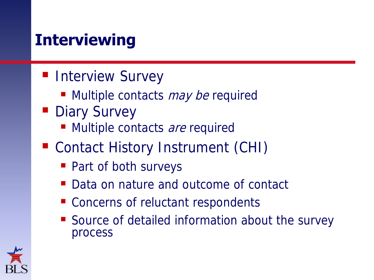### **Interviewing**

- **I** Interview Survey
	- $\blacksquare$  Multiple contacts *may be* required
- **Diary Survey** 
	- Multiple contacts are required
- Contact History Instrument (CHI)
	- Part of both surveys
	- Data on nature and outcome of contact
	- Concerns of reluctant respondents
	- Source of detailed information about the survey process

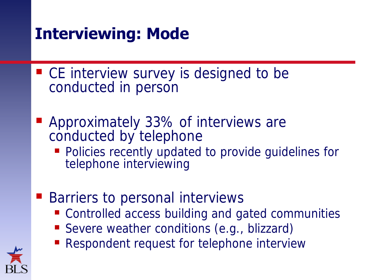# **Interviewing: Mode**

- CE interview survey is designed to be conducted in person
- **Approximately 33% of interviews are** conducted by telephone
	- **Policies recently updated to provide guidelines for** telephone interviewing
- Barriers to personal interviews
	- Controlled access building and gated communities
	- Severe weather conditions (e.g., blizzard)
	- **Respondent request for telephone interview**

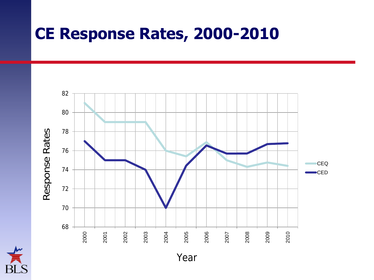### **CE Response Rates, 2000-2010**



Year